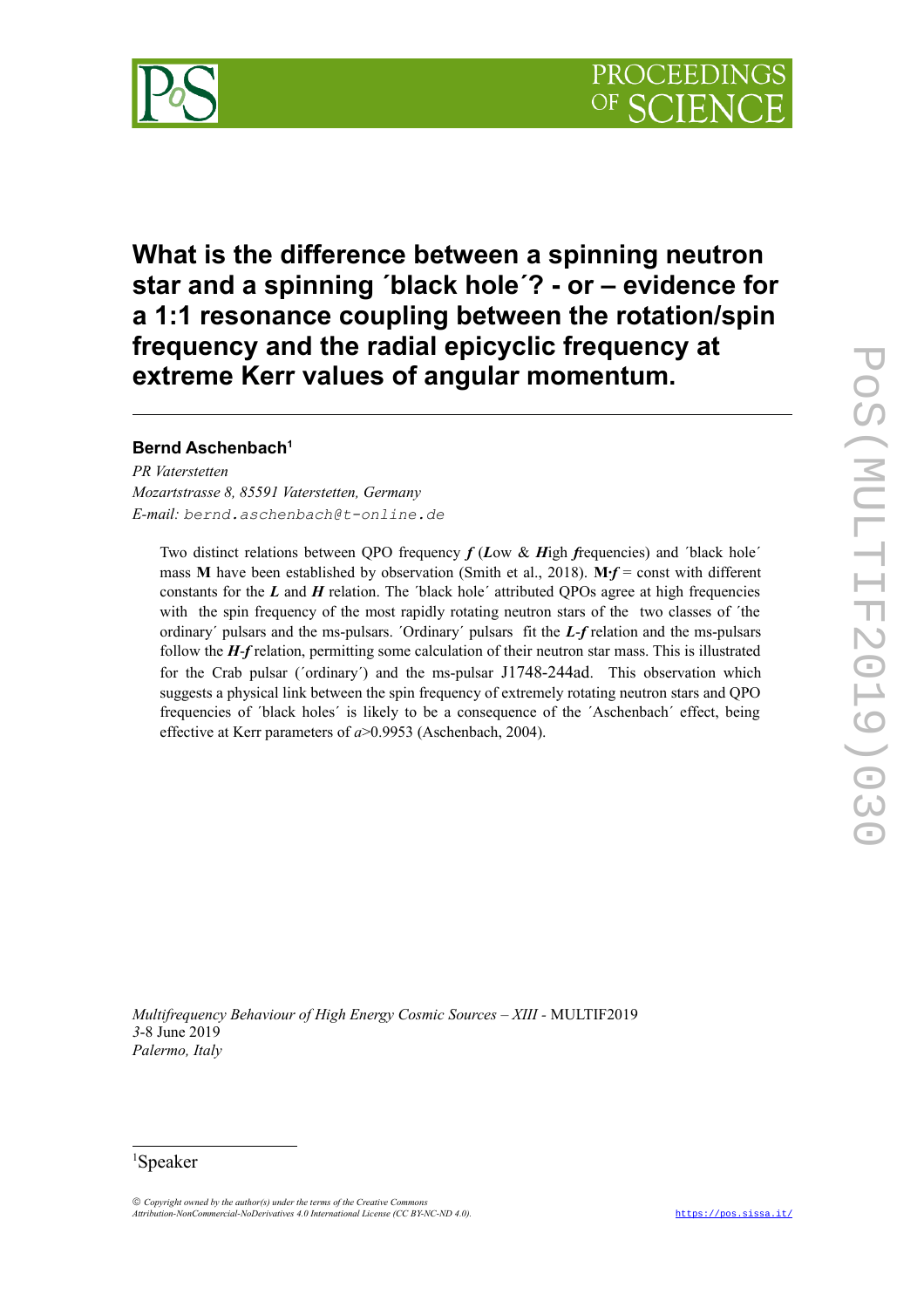



**What is the difference between a spinning neutron star and a spinning ´black hole´? - or – evidence for a 1:1 resonance coupling between the rotation/spin frequency and the radial epicyclic frequency at extreme Kerr values of angular momentum.** 

# **Bernd Aschenbach[1](#page-0-0)**

*PR Vaterstetten Mozartstrasse 8, 85591 Vaterstetten, Germany E-mail: bernd.aschenbach@t-online.de*

Two distinct relations between QPO frequency *f* (*L*ow & *H*igh *f*requencies) and ´black hole´ mass **M** have been established by observation (Smith et al., 2018). **M∙***f* = const with different constants for the  $L$  and  $H$  relation. The *'black hole'* attributed OPOs agree at high frequencies with the spin frequency of the most rapidly rotating neutron stars of the two classes of ´the ordinary´ pulsars and the ms-pulsars. ´Ordinary´ pulsars fit the *L*-*f* relation and the ms-pulsars follow the *H*-*f* relation, permitting some calculation of their neutron star mass. This is illustrated for the Crab pulsar ('ordinary') and the ms-pulsar J1748-244ad. This observation which suggests a physical link between the spin frequency of extremely rotating neutron stars and QPO frequencies of ´black holes´ is likely to be a consequence of the ´Aschenbach´ effect, being effective at Kerr parameters of *a*>0.9953 (Aschenbach, 2004).

*Multifrequency Behaviour of High Energy Cosmic Sources – XIII -* MULTIF2019 *3*-8 June 2019 *Palermo, Italy*

<span id="page-0-0"></span><sup>1</sup>Speaker

 *Copyright owned by the author(s) under the terms of the Creative Commons Attribution-NonCommercial-NoDerivatives 4.0 International License (CC BY-NC-ND 4.0).* [https://pos.sissa.it/](http://pos.sissa.it/)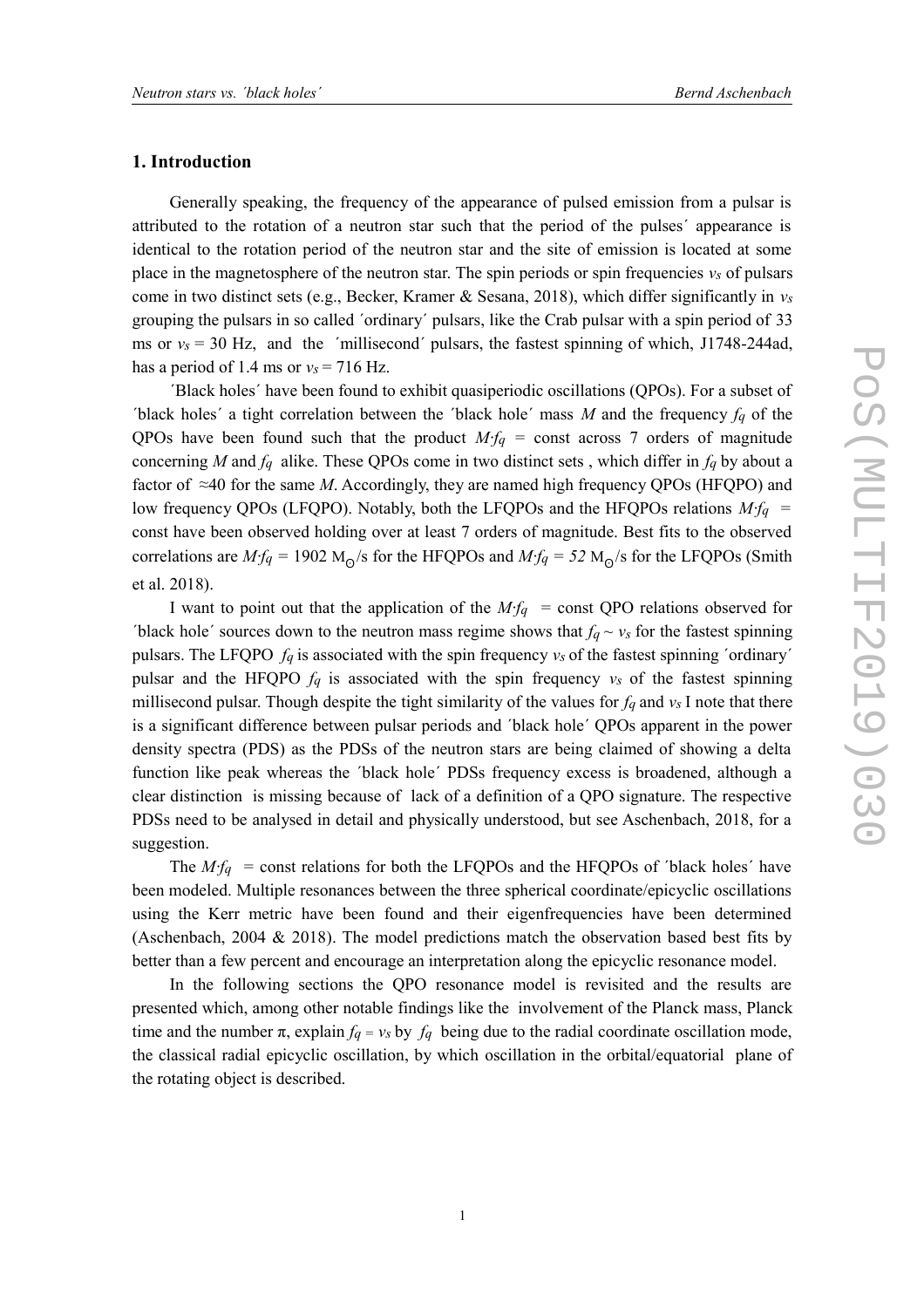## **1. Introduction**

Generally speaking, the frequency of the appearance of pulsed emission from a pulsar is attributed to the rotation of a neutron star such that the period of the pulses´ appearance is identical to the rotation period of the neutron star and the site of emission is located at some place in the magnetosphere of the neutron star. The spin periods or spin frequencies *νs* of pulsars come in two distinct sets (e.g., Becker, Kramer & Sesana, 2018), which differ significantly in *νs* grouping the pulsars in so called ´ordinary´ pulsars, like the Crab pulsar with a spin period of 33 ms or  $v_s = 30$  Hz, and the 'millisecond' pulsars, the fastest spinning of which, J1748-244ad, has a period of 1.4 ms or  $v_s = 716$  Hz.

´Black holes´ have been found to exhibit quasiperiodic oscillations (QPOs). For a subset of ´black holes´ a tight correlation between the ´black hole´ mass *M* and the frequency *fq* of the QPOs have been found such that the product *M∙fq =* const across 7 orders of magnitude concerning *M* and *fq* alike. These QPOs come in two distinct sets , which differ in *fq* by about a factor of ≈40 for the same *M*. Accordingly, they are named high frequency QPOs (HFQPO) and low frequency QPOs (LFQPO). Notably, both the LFQPOs and the HFQPOs relations *M∙fq =* const have been observed holding over at least 7 orders of magnitude. Best fits to the observed correlations are *M∙fq =* 1902 M<sup>Ꙩ</sup> /s for the HFQPOs and *M∙fq = 52* M<sup>Ꙩ</sup> /s for the LFQPOs (Smith et al. 2018).

I want to point out that the application of the *M∙fq =* const QPO relations observed for ´black hole´ sources down to the neutron mass regime shows that *fq ~ νs* for the fastest spinning pulsars. The LFQPO *fq* is associated with the spin frequency *νs* of the fastest spinning ´ordinary´ pulsar and the HFQPO *fq* is associated with the spin frequency *νs* of the fastest spinning millisecond pulsar. Though despite the tight similarity of the values for *fq* and *νs* I note that there is a significant difference between pulsar periods and ´black hole´ QPOs apparent in the power density spectra (PDS) as the PDSs of the neutron stars are being claimed of showing a delta function like peak whereas the ´black hole´ PDSs frequency excess is broadened, although a clear distinction is missing because of lack of a definition of a QPO signature. The respective PDSs need to be analysed in detail and physically understood, but see Aschenbach, 2018, for a suggestion.

The *M∙fq =* const relations for both the LFQPOs and the HFQPOs of ´black holes´ have been modeled. Multiple resonances between the three spherical coordinate/epicyclic oscillations using the Kerr metric have been found and their eigenfrequencies have been determined (Aschenbach, 2004 & 2018). The model predictions match the observation based best fits by better than a few percent and encourage an interpretation along the epicyclic resonance model.

In the following sections the QPO resonance model is revisited and the results are presented which, among other notable findings like the involvement of the Planck mass, Planck time and the number  $\pi$ , explain  $f_q = v_s$  by  $f_q$  being due to the radial coordinate oscillation mode, the classical radial epicyclic oscillation, by which oscillation in the orbital/equatorial plane of the rotating object is described.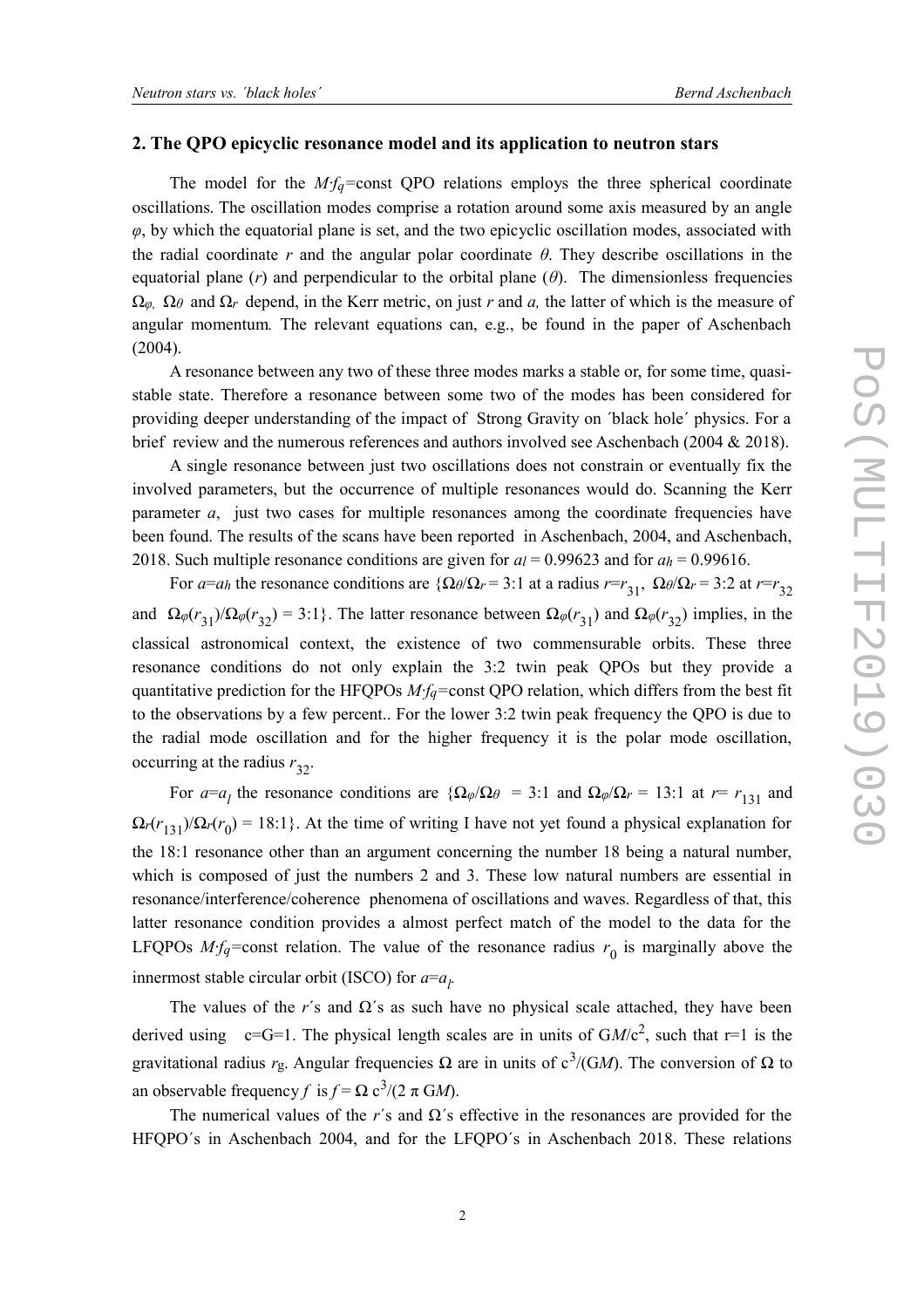## **2. The QPO epicyclic resonance model and its application to neutron stars**

The model for the *M∙fq=*const QPO relations employs the three spherical coordinate oscillations. The oscillation modes comprise a rotation around some axis measured by an angle *φ*, by which the equatorial plane is set, and the two epicyclic oscillation modes, associated with the radial coordinate *r* and the angular polar coordinate *θ*. They describe oscillations in the equatorial plane  $(r)$  and perpendicular to the orbital plane  $(\theta)$ . The dimensionless frequencies Ω*φ,* Ω*θ* and Ω*r* depend, in the Kerr metric, on just *r* and *a,* the latter of which is the measure of angular momentum*.* The relevant equations can, e.g., be found in the paper of Aschenbach (2004).

A resonance between any two of these three modes marks a stable or, for some time, quasistable state. Therefore a resonance between some two of the modes has been considered for providing deeper understanding of the impact of Strong Gravity on ´black hole´ physics. For a brief review and the numerous references and authors involved see Aschenbach (2004 & 2018).

A single resonance between just two oscillations does not constrain or eventually fix the involved parameters, but the occurrence of multiple resonances would do. Scanning the Kerr parameter *a*, just two cases for multiple resonances among the coordinate frequencies have been found. The results of the scans have been reported in Aschenbach, 2004, and Aschenbach, 2018. Such multiple resonance conditions are given for  $a_l = 0.99623$  and for  $a_h = 0.99616$ .

For *a*=*a<sub>h</sub>* the resonance conditions are  $\{\Omega \theta / \Omega_r = 3:1$  at a radius  $r = r_{31}$ ,  $\Omega \theta / \Omega_r = 3:2$  at  $r = r_{32}$ and  $\Omega_{\varphi}(r_{31})/\Omega_{\varphi}(r_{32}) = 3.1$ . The latter resonance between  $\Omega_{\varphi}(r_{31})$  and  $\Omega_{\varphi}(r_{32})$  implies, in the classical astronomical context, the existence of two commensurable orbits. These three resonance conditions do not only explain the 3:2 twin peak QPOs but they provide a quantitative prediction for the HFQPOs *M∙fq=*const QPO relation, which differs from the best fit to the observations by a few percent.. For the lower 3:2 twin peak frequency the QPO is due to the radial mode oscillation and for the higher frequency it is the polar mode oscillation, occurring at the radius  $r_{32}$ .

For  $a=a_l$  the resonance conditions are  $\{\Omega_\phi/\Omega_\theta = 3:1\}$  and  $\Omega_\phi/\Omega_r = 13:1$  at  $r = r_{131}$  and  $\Omega_r(r_{131})/\Omega_r(r_0) = 18.1$ }. At the time of writing I have not yet found a physical explanation for the 18:1 resonance other than an argument concerning the number 18 being a natural number, which is composed of just the numbers 2 and 3. These low natural numbers are essential in resonance/interference/coherence phenomena of oscillations and waves. Regardless of that, this latter resonance condition provides a almost perfect match of the model to the data for the LFQPOs *M∙fq*=const relation. The value of the resonance radius  $r_0$  is marginally above the innermost stable circular orbit (ISCO) for  $a=a_l$ .

The values of the *r*'s and  $\Omega$ 's as such have no physical scale attached, they have been derived using  $c=G=1$ . The physical length scales are in units of  $GM/c^2$ , such that r=1 is the gravitational radius *r*g. Angular frequencies Ω are in units of  $c^3$ /(GM). The conversion of Ω to an observable frequency *f* is  $f = \Omega c^3/(2 \pi G M)$ .

The numerical values of the *r*'s and  $\Omega$ 's effective in the resonances are provided for the HFQPO´s in Aschenbach 2004, and for the LFQPO´s in Aschenbach 2018. These relations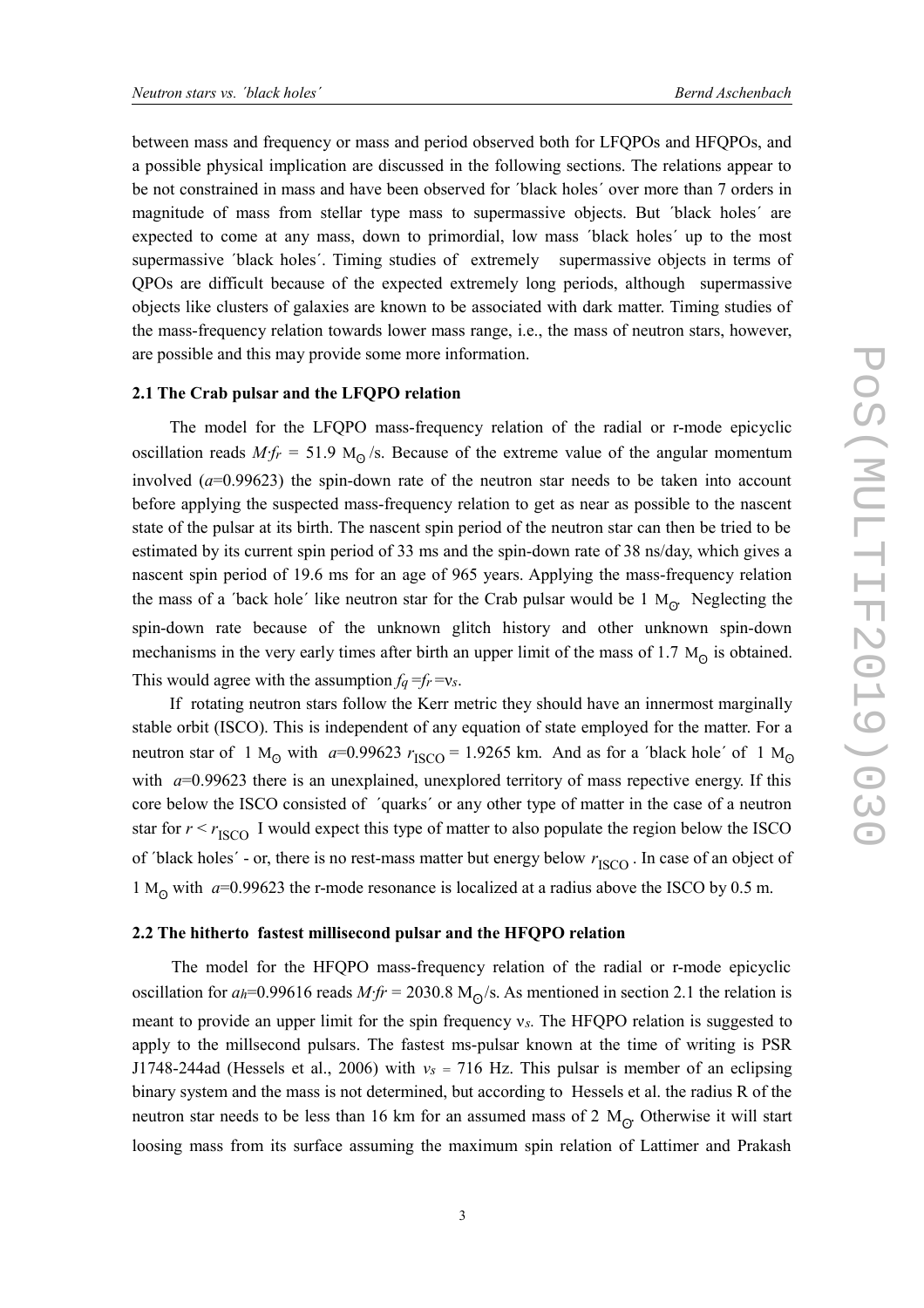between mass and frequency or mass and period observed both for LFQPOs and HFQPOs, and a possible physical implication are discussed in the following sections. The relations appear to be not constrained in mass and have been observed for ´black holes´ over more than 7 orders in magnitude of mass from stellar type mass to supermassive objects. But ´black holes´ are expected to come at any mass, down to primordial, low mass ´black holes´ up to the most supermassive ´black holes´. Timing studies of extremely supermassive objects in terms of QPOs are difficult because of the expected extremely long periods, although supermassive objects like clusters of galaxies are known to be associated with dark matter. Timing studies of the mass-frequency relation towards lower mass range, i.e., the mass of neutron stars, however, are possible and this may provide some more information.

#### **2.1 The Crab pulsar and the LFQPO relation**

The model for the LFQPO mass-frequency relation of the radial or r-mode epicyclic oscillation reads *M∙fr =* 51.9 M<sup>Ꙩ</sup> /s. Because of the extreme value of the angular momentum involved (*a*=0.99623) the spin-down rate of the neutron star needs to be taken into account before applying the suspected mass-frequency relation to get as near as possible to the nascent state of the pulsar at its birth. The nascent spin period of the neutron star can then be tried to be estimated by its current spin period of 33 ms and the spin-down rate of 38 ns/day, which gives a nascent spin period of 19.6 ms for an age of 965 years. Applying the mass-frequency relation the mass of a 'back hole' like neutron star for the Crab pulsar would be  $1 \text{ M}_{\odot}$ . Neglecting the spin-down rate because of the unknown glitch history and other unknown spin-down mechanisms in the very early times after birth an upper limit of the mass of  $1.7 M_{\odot}$  is obtained. This would agree with the assumption  $f_q = f_r = v_s$ .

If rotating neutron stars follow the Kerr metric they should have an innermost marginally stable orbit (ISCO). This is independent of any equation of state employed for the matter. For a neutron star of 1 M<sub>Q</sub> with  $a=0.99623$   $r_{\text{ISCO}}=1.9265$  km. And as for a 'black hole' of 1 M<sub>Q</sub> with *a*=0.99623 there is an unexplained, unexplored territory of mass repective energy. If this core below the ISCO consisted of ´quarks´ or any other type of matter in the case of a neutron star for  $r < r_{\text{ISCO}}$  I would expect this type of matter to also populate the region below the ISCO of 'black holes' - or, there is no rest-mass matter but energy below  $r_{\text{ISCO}}$ . In case of an object of 1 M<sub>o</sub> with  $a=0.99623$  the r-mode resonance is localized at a radius above the ISCO by 0.5 m.

#### **2.2 The hitherto fastest millisecond pulsar and the HFQPO relation**

 The model for the HFQPO mass-frequency relation of the radial or r-mode epicyclic oscillation for *ah*=0.99616 reads *M∙fr =* 2030.8 M<sup>Ꙩ</sup> /s. As mentioned in section 2.1 the relation is meant to provide an upper limit for the spin frequency ν*s.* The HFQPO relation is suggested to apply to the millsecond pulsars. The fastest ms-pulsar known at the time of writing is PSR J1748-244ad (Hessels et al., 2006) with *νs =* 716 Hz. This pulsar is member of an eclipsing binary system and the mass is not determined, but according to Hessels et al. the radius R of the neutron star needs to be less than 16 km for an assumed mass of 2  $\rm M_{\odot}$  Otherwise it will start loosing mass from its surface assuming the maximum spin relation of Lattimer and Prakash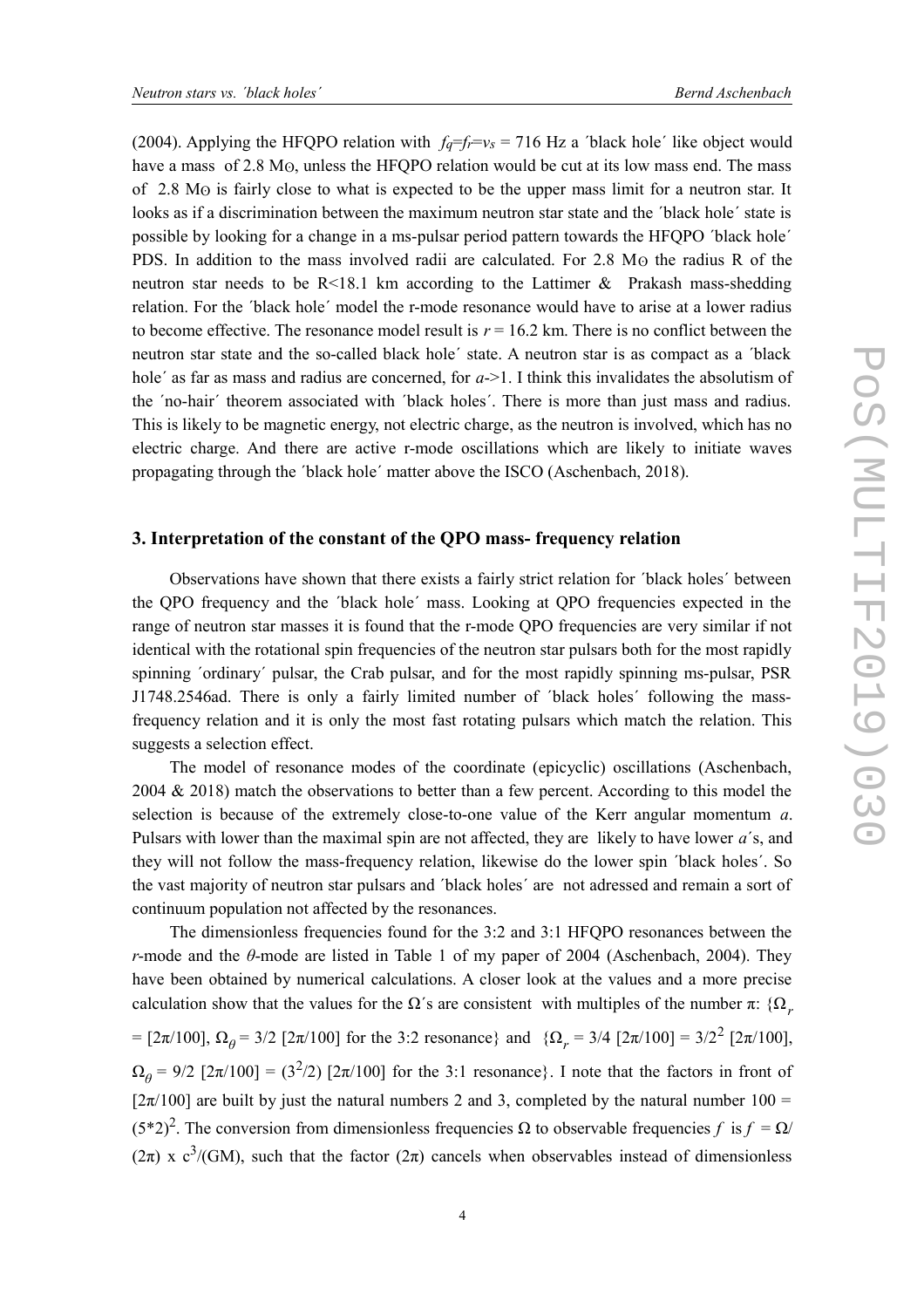(2004). Applying the HFQPO relation with  $f_q=f_f/v_s = 716$  Hz a 'black hole' like object would have a mass of  $2.8 \text{ M}\odot$ , unless the HFQPO relation would be cut at its low mass end. The mass of 2.8 Mʘ is fairly close to what is expected to be the upper mass limit for a neutron star. It looks as if a discrimination between the maximum neutron star state and the ´black hole´ state is possible by looking for a change in a ms-pulsar period pattern towards the HFQPO ´black hole´ PDS. In addition to the mass involved radii are calculated. For 2.8 M<sub>O</sub> the radius R of the neutron star needs to be R<18.1 km according to the Lattimer & Prakash mass-shedding relation. For the ´black hole´ model the r-mode resonance would have to arise at a lower radius to become effective. The resonance model result is  $r = 16.2$  km. There is no conflict between the neutron star state and the so-called black hole´ state. A neutron star is as compact as a ´black hole' as far as mass and radius are concerned, for *a*->1. I think this invalidates the absolutism of the ´no-hair´ theorem associated with ´black holes´. There is more than just mass and radius. This is likely to be magnetic energy, not electric charge, as the neutron is involved, which has no electric charge. And there are active r-mode oscillations which are likely to initiate waves propagating through the ´black hole´ matter above the ISCO (Aschenbach, 2018).

#### **3. Interpretation of the constant of the QPO mass- frequency relation**

Observations have shown that there exists a fairly strict relation for ´black holes´ between the QPO frequency and the ´black hole´ mass. Looking at QPO frequencies expected in the range of neutron star masses it is found that the r-mode QPO frequencies are very similar if not identical with the rotational spin frequencies of the neutron star pulsars both for the most rapidly spinning ´ordinary´ pulsar, the Crab pulsar, and for the most rapidly spinning ms-pulsar, PSR J1748.2546ad. There is only a fairly limited number of ´black holes´ following the massfrequency relation and it is only the most fast rotating pulsars which match the relation. This suggests a selection effect.

The model of resonance modes of the coordinate (epicyclic) oscillations (Aschenbach, 2004  $\&$  2018) match the observations to better than a few percent. According to this model the selection is because of the extremely close-to-one value of the Kerr angular momentum *a*. Pulsars with lower than the maximal spin are not affected, they are likely to have lower *a*´s, and they will not follow the mass-frequency relation, likewise do the lower spin ´black holes´. So the vast majority of neutron star pulsars and ´black holes´ are not adressed and remain a sort of continuum population not affected by the resonances.

The dimensionless frequencies found for the 3:2 and 3:1 HFQPO resonances between the *r*-mode and the *θ*-mode are listed in Table 1 of my paper of 2004 (Aschenbach, 2004). They have been obtained by numerical calculations. A closer look at the values and a more precise calculation show that the values for the  $\Omega$ 's are consistent with multiples of the number  $\pi$ :  $\Omega$ <sub>*r*</sub>

= [2π/100],  $\Omega_{\theta}$  = 3/2 [2π/100] for the 3:2 resonance} and { $\Omega_{r}$  = 3/4 [2π/100] = 3/2<sup>2</sup> [2π/100],

 $\Omega_{\theta} = 9/2$  [2π/100] = (3<sup>2</sup>/2) [2π/100] for the 3:1 resonance}. I note that the factors in front of [ $2\pi/100$ ] are built by just the natural numbers 2 and 3, completed by the natural number 100 =  $(5^*2)^2$ . The conversion from dimensionless frequencies Ω to observable frequencies *f* is  $f = Ω/$  $(2\pi)$  x c<sup>3</sup>/(GM), such that the factor  $(2\pi)$  cancels when observables instead of dimensionless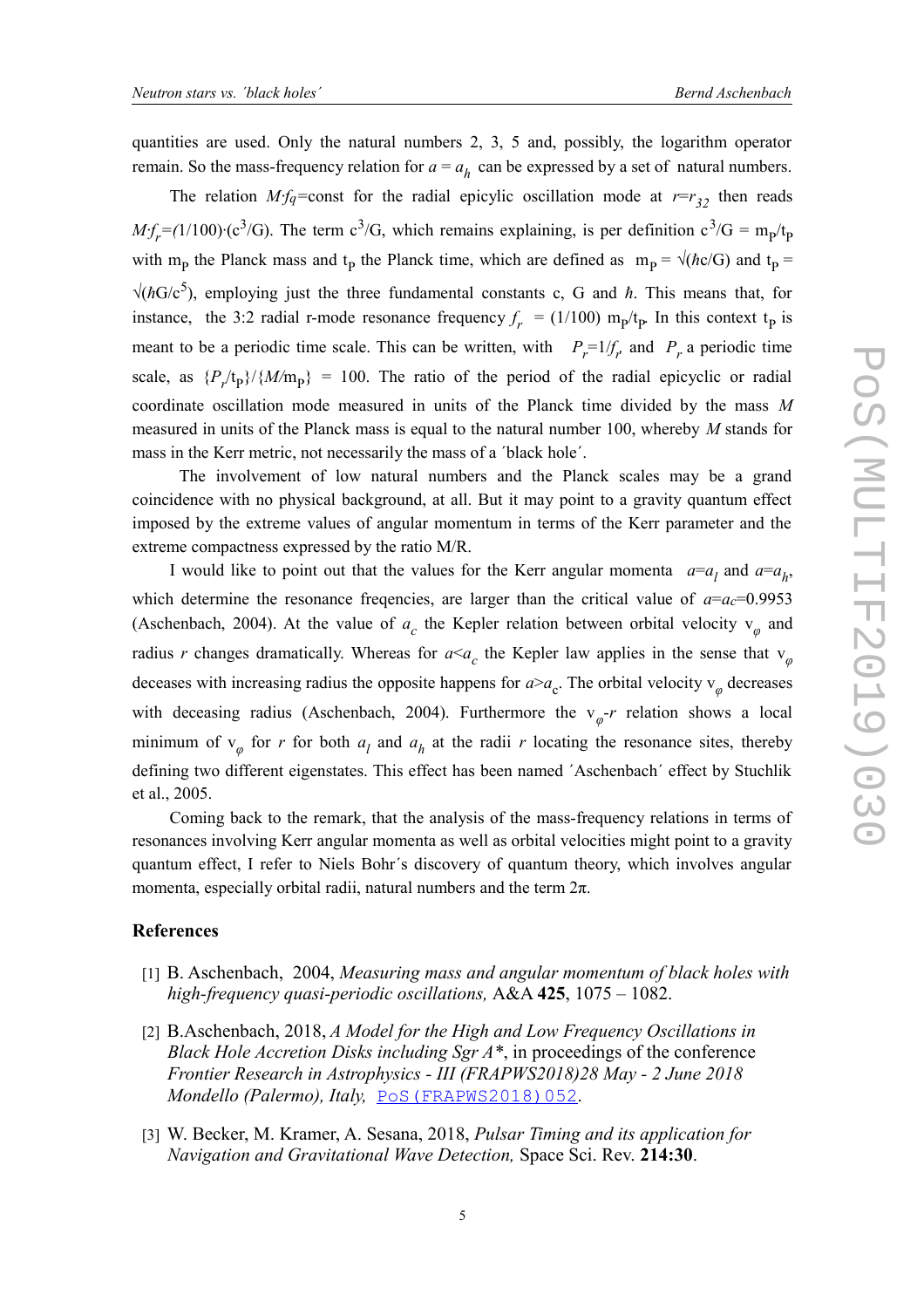quantities are used. Only the natural numbers 2, 3, 5 and, possibly, the logarithm operator remain. So the mass-frequency relation for  $a = a_h$  can be expressed by a set of natural numbers.

The relation *M∙fq=*const for the radial epicylic oscillation mode at *r*=*r <sup>32</sup>* then reads  $Mf_r = (1/100) \cdot (c^3/G)$ . The term  $c^3/G$ , which remains explaining, is per definition  $c^3/G = m_p/t_p$ with m<sub>p</sub> the Planck mass and t<sub>p</sub> the Planck time, which are defined as  $m_p = \sqrt{(\hbar c/G)}$  and t<sub>p</sub>  $\sqrt{hG/c^5}$ , employing just the three fundamental constants c, G and  $\hbar$ . This means that, for instance, the 3:2 radial r-mode resonance frequency  $f_r = (1/100) \text{ m}_p/\text{t}_p$ . In this context  $\text{t}_p$  is meant to be a periodic time scale. This can be written, with  $P_r = 1/f_r$  and  $P_r$  a periodic time scale, as  $\{P_r/t_p\}/\{M/m_p\} = 100$ . The ratio of the period of the radial epicyclic or radial coordinate oscillation mode measured in units of the Planck time divided by the mass *M* measured in units of the Planck mass is equal to the natural number 100, whereby *M* stands for mass in the Kerr metric, not necessarily the mass of a ´black hole´.

 The involvement of low natural numbers and the Planck scales may be a grand coincidence with no physical background, at all. But it may point to a gravity quantum effect imposed by the extreme values of angular momentum in terms of the Kerr parameter and the extreme compactness expressed by the ratio M/R.

I would like to point out that the values for the Kerr angular momenta  $a=a_l$  and  $a=a_h$ , which determine the resonance freqencies, are larger than the critical value of  $a=a<sub>c</sub>=0.9953$ (Aschenbach, 2004). At the value of  $a_c$  the Kepler relation between orbital velocity  $v_\varphi$  and radius *r* changes dramatically. Whereas for  $a \le a_c$  the Kepler law applies in the sense that  $v_\varphi$ deceases with increasing radius the opposite happens for  $a > a_c$ . The orbital velocity  $v_\phi$  decreases with deceasing radius (Aschenbach, 2004). Furthermore the  $v_p$ -*r* relation shows a local minimum of  $v_{\varphi}$  for *r* for both  $a_l$  and  $a_h$  at the radii *r* locating the resonance sites, thereby defining two different eigenstates. This effect has been named ´Aschenbach´ effect by Stuchlik et al., 2005.

Coming back to the remark, that the analysis of the mass-frequency relations in terms of resonances involving Kerr angular momenta as well as orbital velocities might point to a gravity quantum effect, I refer to Niels Bohr´s discovery of quantum theory, which involves angular momenta, especially orbital radii, natural numbers and the term  $2\pi$ .

### **References**

- [1] B. Aschenbach, 2004, *Measuring mass and angular momentum of black holes with high-frequency quasi-periodic oscillations,* A&A **425**, 1075 – 1082.
- [2] B.Aschenbach, 2018, *A Model for the High and Low Frequency Oscillations in Black Hole Accretion Disks including Sgr A\**, in proceedings of the conference *Frontier Research in Astrophysics - III (FRAPWS2018)28 May - 2 June 2018 Mondello (Palermo), Italy, POS (FRAPWS2018)052.*
- [3] W. Becker, M. Kramer, A. Sesana, 2018, *Pulsar Timing and its application for Navigation and Gravitational Wave Detection,* Space Sci. Rev. **214:30**.